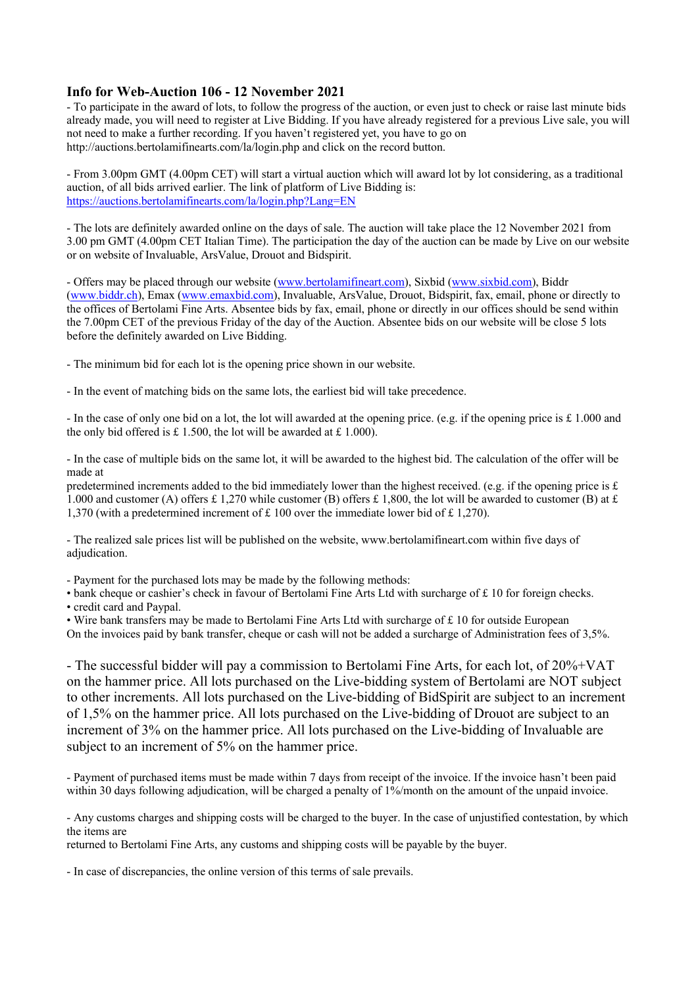#### **Info for Web-Auction 106 - 12 November 2021**

- To participate in the award of lots, to follow the progress of the auction, or even just to check or raise last minute bids already made, you will need to register at Live Bidding. If you have already registered for a previous Live sale, you will not need to make a further recording. If you haven't registered yet, you have to go on http://auctions.bertolamifinearts.com/la/login.php and click on the record button.

- From 3.00pm GMT (4.00pm CET) will start a virtual auction which will award lot by lot considering, as a traditional auction, of all bids arrived earlier. The link of platform of Live Bidding is: https://auctions.bertolamifinearts.com/la/login.php?Lang=EN

- The lots are definitely awarded online on the days of sale. The auction will take place the 12 November 2021 from 3.00 pm GMT (4.00pm CET Italian Time). The participation the day of the auction can be made by Live on our website or on website of Invaluable, ArsValue, Drouot and Bidspirit.

- Offers may be placed through our website (www.bertolamifineart.com), Sixbid (www.sixbid.com), Biddr (www.biddr.ch), Emax (www.emaxbid.com), Invaluable, ArsValue, Drouot, Bidspirit, fax, email, phone or directly to the offices of Bertolami Fine Arts. Absentee bids by fax, email, phone or directly in our offices should be send within the 7.00pm CET of the previous Friday of the day of the Auction. Absentee bids on our website will be close 5 lots before the definitely awarded on Live Bidding.

- The minimum bid for each lot is the opening price shown in our website.

- In the event of matching bids on the same lots, the earliest bid will take precedence.

- In the case of only one bid on a lot, the lot will awarded at the opening price. (e.g. if the opening price is  $\pounds$  1.000 and the only bid offered is £ 1.500, the lot will be awarded at £ 1.000).

- In the case of multiple bids on the same lot, it will be awarded to the highest bid. The calculation of the offer will be made at

predetermined increments added to the bid immediately lower than the highest received. (e.g. if the opening price is  $\pounds$ 1.000 and customer (A) offers £ 1.270 while customer (B) offers £ 1,800, the lot will be awarded to customer (B) at £ 1,370 (with a predetermined increment of £ 100 over the immediate lower bid of £ 1,270).

- The realized sale prices list will be published on the website, www.bertolamifineart.com within five days of adjudication.

- Payment for the purchased lots may be made by the following methods:

• bank cheque or cashier's check in favour of Bertolami Fine Arts Ltd with surcharge of £ 10 for foreign checks.

• credit card and Paypal.

• Wire bank transfers may be made to Bertolami Fine Arts Ltd with surcharge of £ 10 for outside European On the invoices paid by bank transfer, cheque or cash will not be added a surcharge of Administration fees of 3,5%.

- The successful bidder will pay a commission to Bertolami Fine Arts, for each lot, of 20%+VAT on the hammer price. All lots purchased on the Live-bidding system of Bertolami are NOT subject to other increments. All lots purchased on the Live-bidding of BidSpirit are subject to an increment of 1,5% on the hammer price. All lots purchased on the Live-bidding of Drouot are subject to an increment of 3% on the hammer price. All lots purchased on the Live-bidding of Invaluable are subject to an increment of 5% on the hammer price.

- Payment of purchased items must be made within 7 days from receipt of the invoice. If the invoice hasn't been paid within 30 days following adjudication, will be charged a penalty of 1%/month on the amount of the unpaid invoice.

- Any customs charges and shipping costs will be charged to the buyer. In the case of unjustified contestation, by which the items are

returned to Bertolami Fine Arts, any customs and shipping costs will be payable by the buyer.

- In case of discrepancies, the online version of this terms of sale prevails.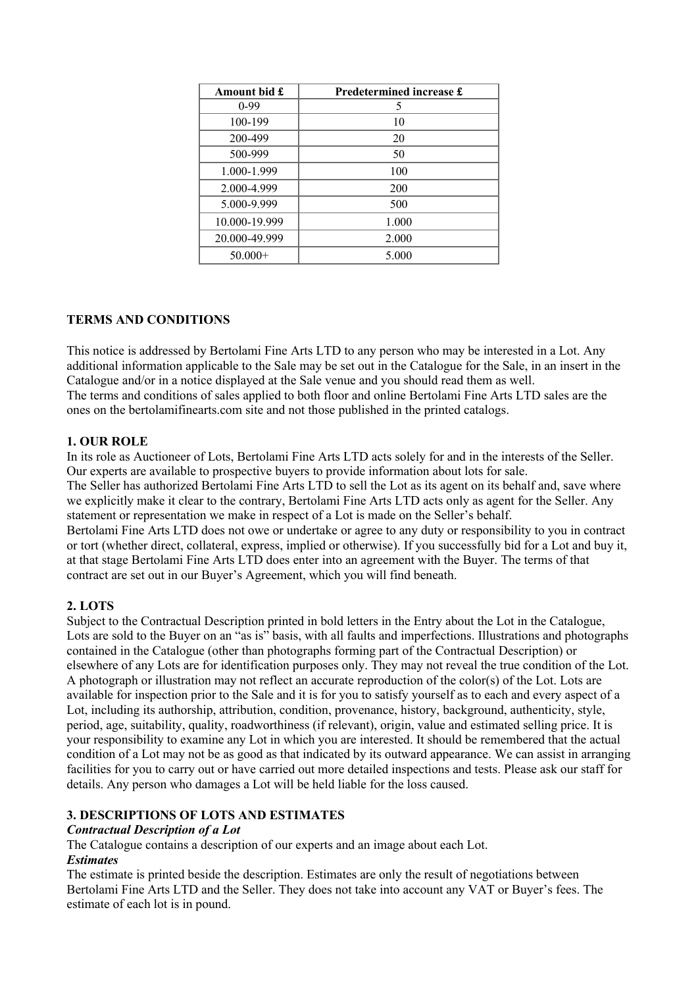| Amount bid £  | Predetermined increase £ |
|---------------|--------------------------|
| $0-99$        | 5                        |
| 100-199       | 10                       |
| 200-499       | 20                       |
| 500-999       | 50                       |
| 1.000-1.999   | 100                      |
| 2.000-4.999   | 200                      |
| 5.000-9.999   | 500                      |
| 10.000-19.999 | 1.000                    |
| 20.000-49.999 | 2.000                    |
| $50.000+$     | 5.000                    |

### **TERMS AND CONDITIONS**

This notice is addressed by Bertolami Fine Arts LTD to any person who may be interested in a Lot. Any additional information applicable to the Sale may be set out in the Catalogue for the Sale, in an insert in the Catalogue and/or in a notice displayed at the Sale venue and you should read them as well. The terms and conditions of sales applied to both floor and online Bertolami Fine Arts LTD sales are the ones on the bertolamifinearts.com site and not those published in the printed catalogs.

### **1. OUR ROLE**

In its role as Auctioneer of Lots, Bertolami Fine Arts LTD acts solely for and in the interests of the Seller. Our experts are available to prospective buyers to provide information about lots for sale. The Seller has authorized Bertolami Fine Arts LTD to sell the Lot as its agent on its behalf and, save where we explicitly make it clear to the contrary, Bertolami Fine Arts LTD acts only as agent for the Seller. Any statement or representation we make in respect of a Lot is made on the Seller's behalf. Bertolami Fine Arts LTD does not owe or undertake or agree to any duty or responsibility to you in contract or tort (whether direct, collateral, express, implied or otherwise). If you successfully bid for a Lot and buy it, at that stage Bertolami Fine Arts LTD does enter into an agreement with the Buyer. The terms of that contract are set out in our Buyer's Agreement, which you will find beneath.

### **2. LOTS**

Subject to the Contractual Description printed in bold letters in the Entry about the Lot in the Catalogue, Lots are sold to the Buyer on an "as is" basis, with all faults and imperfections. Illustrations and photographs contained in the Catalogue (other than photographs forming part of the Contractual Description) or elsewhere of any Lots are for identification purposes only. They may not reveal the true condition of the Lot. A photograph or illustration may not reflect an accurate reproduction of the color(s) of the Lot. Lots are available for inspection prior to the Sale and it is for you to satisfy yourself as to each and every aspect of a Lot, including its authorship, attribution, condition, provenance, history, background, authenticity, style, period, age, suitability, quality, roadworthiness (if relevant), origin, value and estimated selling price. It is your responsibility to examine any Lot in which you are interested. It should be remembered that the actual condition of a Lot may not be as good as that indicated by its outward appearance. We can assist in arranging facilities for you to carry out or have carried out more detailed inspections and tests. Please ask our staff for details. Any person who damages a Lot will be held liable for the loss caused.

### **3. DESCRIPTIONS OF LOTS AND ESTIMATES**

#### *Contractual Description of a Lot*

The Catalogue contains a description of our experts and an image about each Lot. *Estimates* 

The estimate is printed beside the description. Estimates are only the result of negotiations between Bertolami Fine Arts LTD and the Seller. They does not take into account any VAT or Buyer's fees. The estimate of each lot is in pound.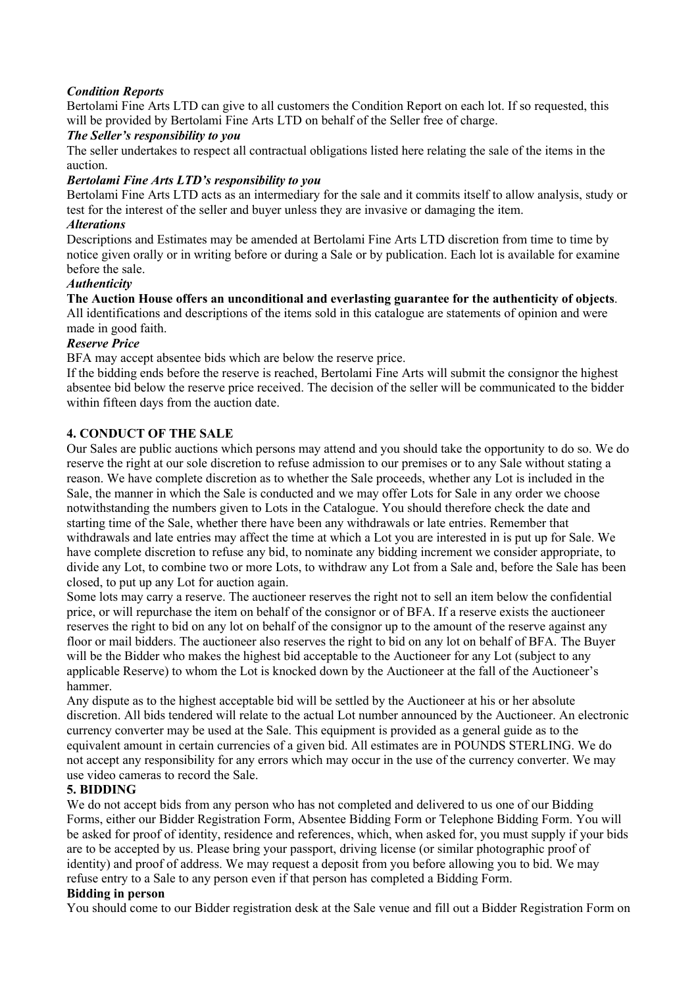### *Condition Reports*

Bertolami Fine Arts LTD can give to all customers the Condition Report on each lot. If so requested, this will be provided by Bertolami Fine Arts LTD on behalf of the Seller free of charge.

#### *The Seller's responsibility to you*

The seller undertakes to respect all contractual obligations listed here relating the sale of the items in the auction.

### *Bertolami Fine Arts LTD's responsibility to you*

Bertolami Fine Arts LTD acts as an intermediary for the sale and it commits itself to allow analysis, study or test for the interest of the seller and buyer unless they are invasive or damaging the item. *Alterations*

Descriptions and Estimates may be amended at Bertolami Fine Arts LTD discretion from time to time by notice given orally or in writing before or during a Sale or by publication. Each lot is available for examine before the sale.

### *Authenticity*

**The Auction House offers an unconditional and everlasting guarantee for the authenticity of objects**. All identifications and descriptions of the items sold in this catalogue are statements of opinion and were

# made in good faith.

# *Reserve Price*

BFA may accept absentee bids which are below the reserve price.

If the bidding ends before the reserve is reached, Bertolami Fine Arts will submit the consignor the highest absentee bid below the reserve price received. The decision of the seller will be communicated to the bidder within fifteen days from the auction date.

### **4. CONDUCT OF THE SALE**

Our Sales are public auctions which persons may attend and you should take the opportunity to do so. We do reserve the right at our sole discretion to refuse admission to our premises or to any Sale without stating a reason. We have complete discretion as to whether the Sale proceeds, whether any Lot is included in the Sale, the manner in which the Sale is conducted and we may offer Lots for Sale in any order we choose notwithstanding the numbers given to Lots in the Catalogue. You should therefore check the date and starting time of the Sale, whether there have been any withdrawals or late entries. Remember that withdrawals and late entries may affect the time at which a Lot you are interested in is put up for Sale. We have complete discretion to refuse any bid, to nominate any bidding increment we consider appropriate, to divide any Lot, to combine two or more Lots, to withdraw any Lot from a Sale and, before the Sale has been closed, to put up any Lot for auction again.

Some lots may carry a reserve. The auctioneer reserves the right not to sell an item below the confidential price, or will repurchase the item on behalf of the consignor or of BFA. If a reserve exists the auctioneer reserves the right to bid on any lot on behalf of the consignor up to the amount of the reserve against any floor or mail bidders. The auctioneer also reserves the right to bid on any lot on behalf of BFA. The Buyer will be the Bidder who makes the highest bid acceptable to the Auctioneer for any Lot (subject to any applicable Reserve) to whom the Lot is knocked down by the Auctioneer at the fall of the Auctioneer's hammer.

Any dispute as to the highest acceptable bid will be settled by the Auctioneer at his or her absolute discretion. All bids tendered will relate to the actual Lot number announced by the Auctioneer. An electronic currency converter may be used at the Sale. This equipment is provided as a general guide as to the equivalent amount in certain currencies of a given bid. All estimates are in POUNDS STERLING. We do not accept any responsibility for any errors which may occur in the use of the currency converter. We may use video cameras to record the Sale.

#### **5. BIDDING**

We do not accept bids from any person who has not completed and delivered to us one of our Bidding Forms, either our Bidder Registration Form, Absentee Bidding Form or Telephone Bidding Form. You will be asked for proof of identity, residence and references, which, when asked for, you must supply if your bids are to be accepted by us. Please bring your passport, driving license (or similar photographic proof of identity) and proof of address. We may request a deposit from you before allowing you to bid. We may refuse entry to a Sale to any person even if that person has completed a Bidding Form.

#### **Bidding in person**

You should come to our Bidder registration desk at the Sale venue and fill out a Bidder Registration Form on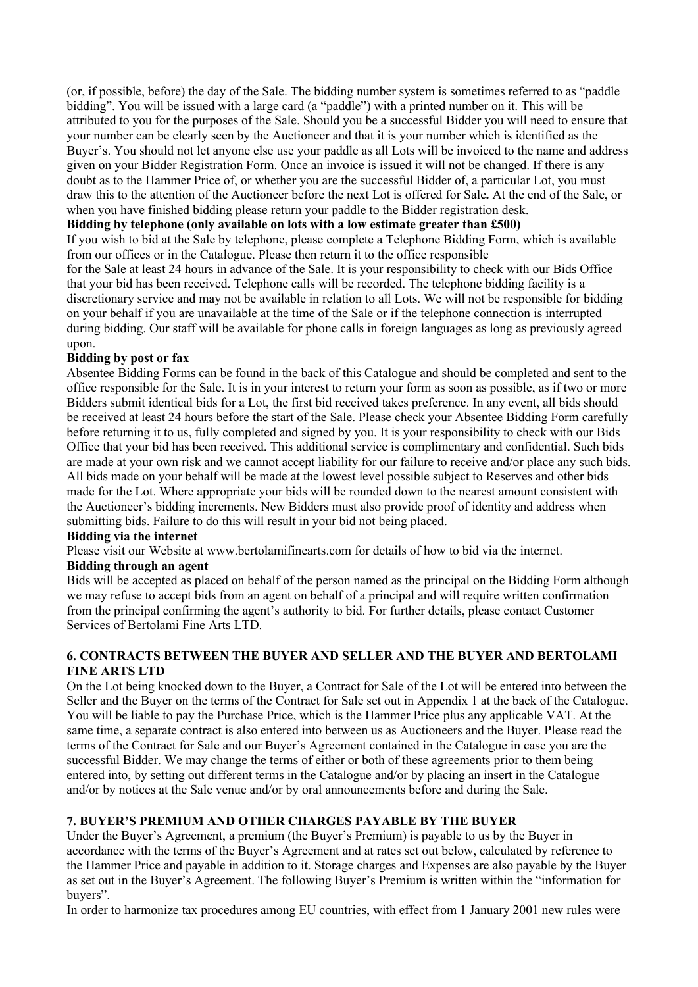(or, if possible, before) the day of the Sale. The bidding number system is sometimes referred to as "paddle bidding". You will be issued with a large card (a "paddle") with a printed number on it. This will be attributed to you for the purposes of the Sale. Should you be a successful Bidder you will need to ensure that your number can be clearly seen by the Auctioneer and that it is your number which is identified as the Buyer's. You should not let anyone else use your paddle as all Lots will be invoiced to the name and address given on your Bidder Registration Form. Once an invoice is issued it will not be changed. If there is any doubt as to the Hammer Price of, or whether you are the successful Bidder of, a particular Lot, you must draw this to the attention of the Auctioneer before the next Lot is offered for Sale**.** At the end of the Sale, or when you have finished bidding please return your paddle to the Bidder registration desk.

#### **Bidding by telephone (only available on lots with a low estimate greater than £500)**

If you wish to bid at the Sale by telephone, please complete a Telephone Bidding Form, which is available from our offices or in the Catalogue. Please then return it to the office responsible

for the Sale at least 24 hours in advance of the Sale. It is your responsibility to check with our Bids Office that your bid has been received. Telephone calls will be recorded. The telephone bidding facility is a discretionary service and may not be available in relation to all Lots. We will not be responsible for bidding on your behalf if you are unavailable at the time of the Sale or if the telephone connection is interrupted during bidding. Our staff will be available for phone calls in foreign languages as long as previously agreed upon.

### **Bidding by post or fax**

Absentee Bidding Forms can be found in the back of this Catalogue and should be completed and sent to the office responsible for the Sale. It is in your interest to return your form as soon as possible, as if two or more Bidders submit identical bids for a Lot, the first bid received takes preference. In any event, all bids should be received at least 24 hours before the start of the Sale. Please check your Absentee Bidding Form carefully before returning it to us, fully completed and signed by you. It is your responsibility to check with our Bids Office that your bid has been received. This additional service is complimentary and confidential. Such bids are made at your own risk and we cannot accept liability for our failure to receive and/or place any such bids. All bids made on your behalf will be made at the lowest level possible subject to Reserves and other bids made for the Lot. Where appropriate your bids will be rounded down to the nearest amount consistent with the Auctioneer's bidding increments. New Bidders must also provide proof of identity and address when submitting bids. Failure to do this will result in your bid not being placed.

#### **Bidding via the internet**

Please visit our Website at www.bertolamifinearts.com for details of how to bid via the internet.

### **Bidding through an agent**

Bids will be accepted as placed on behalf of the person named as the principal on the Bidding Form although we may refuse to accept bids from an agent on behalf of a principal and will require written confirmation from the principal confirming the agent's authority to bid. For further details, please contact Customer Services of Bertolami Fine Arts LTD.

### **6. CONTRACTS BETWEEN THE BUYER AND SELLER AND THE BUYER AND BERTOLAMI FINE ARTS LTD**

On the Lot being knocked down to the Buyer, a Contract for Sale of the Lot will be entered into between the Seller and the Buyer on the terms of the Contract for Sale set out in Appendix 1 at the back of the Catalogue. You will be liable to pay the Purchase Price, which is the Hammer Price plus any applicable VAT. At the same time, a separate contract is also entered into between us as Auctioneers and the Buyer. Please read the terms of the Contract for Sale and our Buyer's Agreement contained in the Catalogue in case you are the successful Bidder. We may change the terms of either or both of these agreements prior to them being entered into, by setting out different terms in the Catalogue and/or by placing an insert in the Catalogue and/or by notices at the Sale venue and/or by oral announcements before and during the Sale.

### **7. BUYER'S PREMIUM AND OTHER CHARGES PAYABLE BY THE BUYER**

Under the Buyer's Agreement, a premium (the Buyer's Premium) is payable to us by the Buyer in accordance with the terms of the Buyer's Agreement and at rates set out below, calculated by reference to the Hammer Price and payable in addition to it. Storage charges and Expenses are also payable by the Buyer as set out in the Buyer's Agreement. The following Buyer's Premium is written within the "information for buyers".

In order to harmonize tax procedures among EU countries, with effect from 1 January 2001 new rules were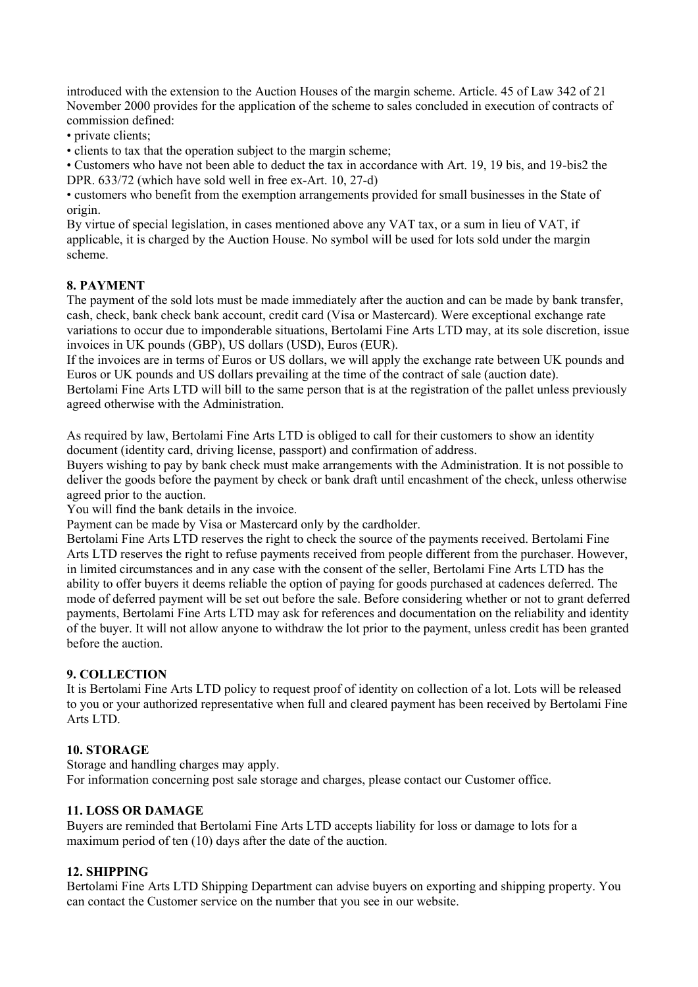introduced with the extension to the Auction Houses of the margin scheme. Article. 45 of Law 342 of 21 November 2000 provides for the application of the scheme to sales concluded in execution of contracts of commission defined:

• private clients;

• clients to tax that the operation subject to the margin scheme;

• Customers who have not been able to deduct the tax in accordance with Art. 19, 19 bis, and 19-bis2 the DPR. 633/72 (which have sold well in free ex-Art. 10, 27-d)

• customers who benefit from the exemption arrangements provided for small businesses in the State of origin.

By virtue of special legislation, in cases mentioned above any VAT tax, or a sum in lieu of VAT, if applicable, it is charged by the Auction House. No symbol will be used for lots sold under the margin scheme.

#### **8. PAYMENT**

The payment of the sold lots must be made immediately after the auction and can be made by bank transfer, cash, check, bank check bank account, credit card (Visa or Mastercard). Were exceptional exchange rate variations to occur due to imponderable situations, Bertolami Fine Arts LTD may, at its sole discretion, issue invoices in UK pounds (GBP), US dollars (USD), Euros (EUR).

If the invoices are in terms of Euros or US dollars, we will apply the exchange rate between UK pounds and Euros or UK pounds and US dollars prevailing at the time of the contract of sale (auction date).

Bertolami Fine Arts LTD will bill to the same person that is at the registration of the pallet unless previously agreed otherwise with the Administration.

As required by law, Bertolami Fine Arts LTD is obliged to call for their customers to show an identity document (identity card, driving license, passport) and confirmation of address.

Buyers wishing to pay by bank check must make arrangements with the Administration. It is not possible to deliver the goods before the payment by check or bank draft until encashment of the check, unless otherwise agreed prior to the auction.

You will find the bank details in the invoice.

Payment can be made by Visa or Mastercard only by the cardholder.

Bertolami Fine Arts LTD reserves the right to check the source of the payments received. Bertolami Fine Arts LTD reserves the right to refuse payments received from people different from the purchaser. However, in limited circumstances and in any case with the consent of the seller, Bertolami Fine Arts LTD has the ability to offer buyers it deems reliable the option of paying for goods purchased at cadences deferred. The mode of deferred payment will be set out before the sale. Before considering whether or not to grant deferred payments, Bertolami Fine Arts LTD may ask for references and documentation on the reliability and identity of the buyer. It will not allow anyone to withdraw the lot prior to the payment, unless credit has been granted before the auction.

#### **9. COLLECTION**

It is Bertolami Fine Arts LTD policy to request proof of identity on collection of a lot. Lots will be released to you or your authorized representative when full and cleared payment has been received by Bertolami Fine Arts LTD.

#### **10. STORAGE**

Storage and handling charges may apply. For information concerning post sale storage and charges, please contact our Customer office.

#### **11. LOSS OR DAMAGE**

Buyers are reminded that Bertolami Fine Arts LTD accepts liability for loss or damage to lots for a maximum period of ten (10) days after the date of the auction.

#### **12. SHIPPING**

Bertolami Fine Arts LTD Shipping Department can advise buyers on exporting and shipping property. You can contact the Customer service on the number that you see in our website.